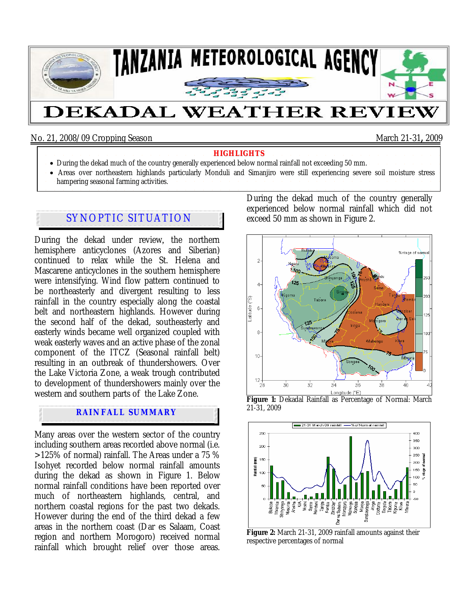

#### No. 21, 2008/09 Cropping Season March 21-31**,** 2009

- **HIGHLIGHTS** During the dekad much of the country generally experienced below normal rainfall not exceeding 50 mm.
- Areas over northeastern highlands particularly Monduli and Simanjiro were still experiencing severe soil moisture stress hampering seasonal farming activities.

# SYNOPTIC SITUATION

During the dekad under review, the northern hemisphere anticyclones (Azores and Siberian) continued to relax while the St. Helena and Mascarene anticyclones in the southern hemisphere were intensifying. Wind flow pattern continued to be northeasterly and divergent resulting to less rainfall in the country especially along the coastal belt and northeastern highlands. However during the second half of the dekad, southeasterly and easterly winds became well organized coupled with weak easterly waves and an active phase of the zonal component of the ITCZ (Seasonal rainfall belt) resulting in an outbreak of thundershowers. Over the Lake Victoria Zone, a weak trough contributed to development of thundershowers mainly over the western and southern parts of the Lake Zone.

#### **RAINFALL SUMMARY**

Many areas over the western sector of the country including southern areas recorded above normal (i.e. >125% of normal) rainfall. The Areas under a 75 % Isohyet recorded below normal rainfall amounts during the dekad as shown in Figure 1. Below normal rainfall conditions have been reported over much of northeastern highlands, central, and northern coastal regions for the past two dekads. However during the end of the third dekad a few areas in the northern coast (Dar es Salaam, Coast region and northern Morogoro) received normal rainfall which brought relief over those areas. During the dekad much of the country generally experienced below normal rainfall which did not exceed 50 mm as shown in Figure 2.







Figure 2: March 21-31, 2009 rainfall amounts against their respective percentages of normal